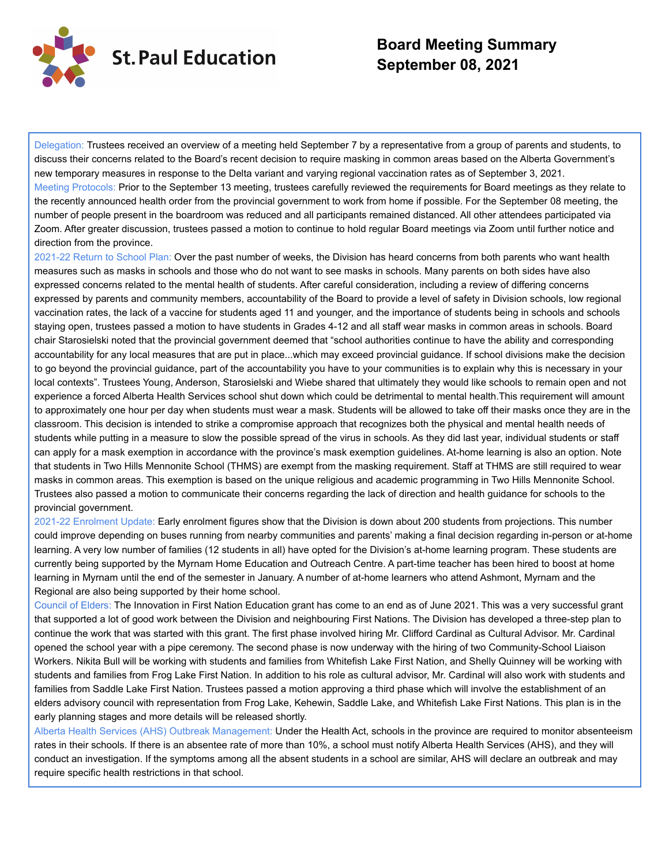

## **Board Meeting Summary September 08, 2021**

Delegation: Trustees received an overview of a meeting held September 7 by a representative from a group of parents and students, to discuss their concerns related to the Board's recent decision to require masking in common areas based on the Alberta Government's new temporary measures in response to the Delta variant and varying regional vaccination rates as of September 3, 2021. Meeting Protocols: Prior to the September 13 meeting, trustees carefully reviewed the requirements for Board meetings as they relate to the recently announced health order from the provincial government to work from home if possible. For the September 08 meeting, the number of people present in the boardroom was reduced and all participants remained distanced. All other attendees participated via Zoom. After greater discussion, trustees passed a motion to continue to hold regular Board meetings via Zoom until further notice and direction from the province.

2021-22 Return to School Plan: Over the past number of weeks, the Division has heard concerns from both parents who want health measures such as masks in schools and those who do not want to see masks in schools. Many parents on both sides have also expressed concerns related to the mental health of students. After careful consideration, including a review of differing concerns expressed by parents and community members, accountability of the Board to provide a level of safety in Division schools, low regional vaccination rates, the lack of a vaccine for students aged 11 and younger, and the importance of students being in schools and schools staying open, trustees passed a motion to have students in Grades 4-12 and all staff wear masks in common areas in schools. Board chair Starosielski noted that the provincial government deemed that "school authorities continue to have the ability and corresponding accountability for any local measures that are put in place...which may exceed provincial guidance. If school divisions make the decision to go beyond the provincial guidance, part of the accountability you have to your communities is to explain why this is necessary in your local contexts". Trustees Young, Anderson, Starosielski and Wiebe shared that ultimately they would like schools to remain open and not experience a forced Alberta Health Services school shut down which could be detrimental to mental health.This requirement will amount to approximately one hour per day when students must wear a mask. Students will be allowed to take off their masks once they are in the classroom. This decision is intended to strike a compromise approach that recognizes both the physical and mental health needs of students while putting in a measure to slow the possible spread of the virus in schools. As they did last year, individual students or staff can apply for a mask exemption in accordance with the province's mask exemption guidelines. At-home learning is also an option. Note that students in Two Hills Mennonite School (THMS) are exempt from the masking requirement. Staff at THMS are still required to wear masks in common areas. This exemption is based on the unique religious and academic programming in Two Hills Mennonite School. Trustees also passed a motion to communicate their concerns regarding the lack of direction and health guidance for schools to the provincial government.

2021-22 Enrolment Update: Early enrolment figures show that the Division is down about 200 students from projections. This number could improve depending on buses running from nearby communities and parents' making a final decision regarding in-person or at-home learning. A very low number of families (12 students in all) have opted for the Division's at-home learning program. These students are currently being supported by the Myrnam Home Education and Outreach Centre. A part-time teacher has been hired to boost at home learning in Myrnam until the end of the semester in January. A number of at-home learners who attend Ashmont, Myrnam and the Regional are also being supported by their home school.

Council of Elders: The Innovation in First Nation Education grant has come to an end as of June 2021. This was a very successful grant that supported a lot of good work between the Division and neighbouring First Nations. The Division has developed a three-step plan to continue the work that was started with this grant. The first phase involved hiring Mr. Clifford Cardinal as Cultural Advisor. Mr. Cardinal opened the school year with a pipe ceremony. The second phase is now underway with the hiring of two Community-School Liaison Workers. Nikita Bull will be working with students and families from Whitefish Lake First Nation, and Shelly Quinney will be working with students and families from Frog Lake First Nation. In addition to his role as cultural advisor, Mr. Cardinal will also work with students and families from Saddle Lake First Nation. Trustees passed a motion approving a third phase which will involve the establishment of an elders advisory council with representation from Frog Lake, Kehewin, Saddle Lake, and Whitefish Lake First Nations. This plan is in the early planning stages and more details will be released shortly.

Alberta Health Services (AHS) Outbreak Management: Under the Health Act, schools in the province are required to monitor absenteeism rates in their schools. If there is an absentee rate of more than 10%, a school must notify Alberta Health Services (AHS), and they will conduct an investigation. If the symptoms among all the absent students in a school are similar, AHS will declare an outbreak and may require specific health restrictions in that school.